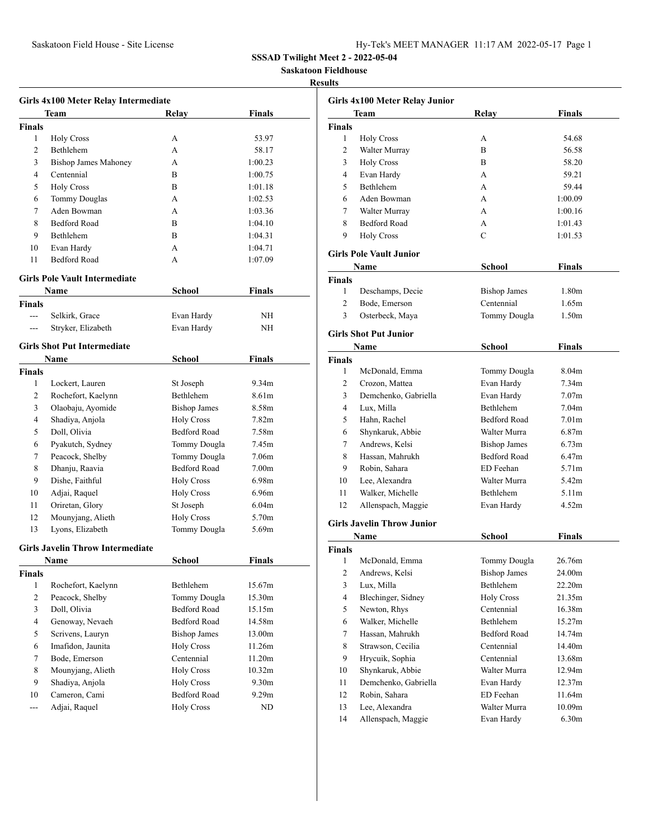Saskatoon Field House - Site License

**SSSAD Twilight Meet 2 - 2022-05-04**

**Saskatoon Fieldhouse**

#### **Results**

| Girls 4x100 Meter Relay Intermediate |                                         |                     |                   |  |
|--------------------------------------|-----------------------------------------|---------------------|-------------------|--|
| Team<br>Finals<br>Relay              |                                         |                     |                   |  |
| <b>Finals</b>                        |                                         |                     |                   |  |
| 1                                    | <b>Holy Cross</b>                       | А                   | 53.97             |  |
| 2                                    | Bethlehem                               | A                   | 58.17             |  |
| 3                                    | <b>Bishop James Mahoney</b>             | A                   | 1:00.23           |  |
| 4                                    | Centennial                              | B                   | 1:00.75           |  |
| 5                                    | <b>Holy Cross</b>                       | B                   | 1:01.18           |  |
| 6                                    | <b>Tommy Douglas</b>                    | A                   | 1:02.53           |  |
| 7                                    | Aden Bowman                             | A                   | 1:03.36           |  |
| 8                                    | <b>Bedford Road</b>                     | B                   | 1:04.10           |  |
| 9                                    | Bethlehem                               | R                   | 1:04.31           |  |
| 10                                   | Evan Hardy                              | A                   | 1:04.71           |  |
| 11                                   | <b>Bedford Road</b>                     | A                   | 1:07.09           |  |
|                                      | <b>Girls Pole Vault Intermediate</b>    |                     |                   |  |
|                                      | Name                                    | School              | Finals            |  |
| <b>Finals</b>                        |                                         |                     |                   |  |
| $---$                                | Selkirk, Grace                          | Evan Hardy          | ΝH                |  |
| $---$                                | Stryker, Elizabeth                      | Evan Hardy          | NH                |  |
|                                      | <b>Girls Shot Put Intermediate</b>      |                     |                   |  |
|                                      | <b>Name</b>                             | School              | Finals            |  |
| Finals                               |                                         |                     |                   |  |
| 1                                    | Lockert, Lauren                         | St Joseph           | 9.34m             |  |
| $\overline{2}$                       | Rochefort, Kaelynn                      | Bethlehem           | 8.61m             |  |
| 3                                    | Olaobaju, Ayomide                       | <b>Bishop James</b> | 8.58m             |  |
| 4                                    | Shadiya, Anjola                         | <b>Holy Cross</b>   | 7.82m             |  |
| 5                                    | Doll, Olivia                            | <b>Bedford Road</b> | 7.58m             |  |
| 6                                    | Pyakutch, Sydney                        | Tommy Dougla        | 7.45m             |  |
| 7                                    | Peacock, Shelby                         | Tommy Dougla        | 7.06m             |  |
| 8                                    | Dhanju, Raavia                          | <b>Bedford Road</b> | 7.00 <sub>m</sub> |  |
| 9                                    | Dishe, Faithful                         | <b>Holy Cross</b>   | 6.98m             |  |
| 10                                   | Adjai, Raquel                           | <b>Holy Cross</b>   | 6.96m             |  |
| 11                                   | Oriretan, Glory                         | St Joseph           | 6.04m             |  |
| 12                                   | Mounyjang, Alieth                       | <b>Holy Cross</b>   | 5.70m             |  |
| 13                                   | Lyons, Elizabeth                        | Tommy Dougla        | 5.69m             |  |
|                                      | <b>Girls Javelin Throw Intermediate</b> |                     |                   |  |
|                                      | Name                                    | School              | Finals            |  |
| Finals                               |                                         |                     |                   |  |
| 1                                    | Rochefort, Kaelynn                      | Bethlehem           | 15.67m            |  |
| $\overline{c}$                       | Peacock, Shelby                         | Tommy Dougla        | 15.30m            |  |
| 3                                    | Doll, Olivia                            | <b>Bedford Road</b> | 15.15m            |  |
| $\overline{4}$                       | Genoway, Nevaeh                         | Bedford Road        | 14.58m            |  |
| 5                                    | Scrivens, Lauryn                        | <b>Bishop James</b> | 13.00m            |  |
| 6                                    | Imafidon, Jaunita                       | <b>Holy Cross</b>   | 11.26m            |  |
| 7                                    | Bode, Emerson                           | Centennial          | 11.20m            |  |
| 8                                    | Mounyjang, Alieth                       | <b>Holy Cross</b>   | 10.32m            |  |
| 9                                    | Shadiya, Anjola                         | <b>Holy Cross</b>   | 9.30 <sub>m</sub> |  |
| 10                                   | Cameron, Cami                           | Bedford Road        | 9.29m             |  |
| ---                                  | Adjai, Raquel                           | <b>Holy Cross</b>   | ND                |  |

| Girls 4x100 Meter Relay Junior |                                   |                     |                                        |  |  |  |
|--------------------------------|-----------------------------------|---------------------|----------------------------------------|--|--|--|
|                                | Finals<br>Team<br>Relay           |                     |                                        |  |  |  |
| <b>Finals</b>                  |                                   |                     |                                        |  |  |  |
| 1                              | <b>Holy Cross</b>                 | А                   | 54.68                                  |  |  |  |
| $\overline{c}$                 | Walter Murray                     | B                   | 56.58                                  |  |  |  |
| 3                              | <b>Holy Cross</b>                 | B                   | 58.20                                  |  |  |  |
| 4                              | Evan Hardy                        | A                   | 59.21                                  |  |  |  |
| 5                              | Bethlehem                         | A                   | 59.44                                  |  |  |  |
| 6                              | Aden Bowman                       | A                   | 1:00.09                                |  |  |  |
| 7                              | Walter Murray                     | A                   | 1:00.16                                |  |  |  |
| 8                              | <b>Bedford Road</b>               | А                   | 1:01.43                                |  |  |  |
| 9                              | <b>Holy Cross</b>                 | C                   | 1:01.53                                |  |  |  |
|                                |                                   |                     |                                        |  |  |  |
|                                | <b>Girls Pole Vault Junior</b>    |                     |                                        |  |  |  |
|                                | Name                              | School              | Finals                                 |  |  |  |
| Finals                         |                                   |                     |                                        |  |  |  |
| 1                              | Deschamps, Decie                  | <b>Bishop James</b> | 1.80 <sub>m</sub>                      |  |  |  |
| 2                              | Bode, Emerson                     | Centennial          | 1.65m                                  |  |  |  |
| 3                              | Osterbeck, Maya                   | Tommy Dougla        | 1.50m                                  |  |  |  |
|                                | <b>Girls Shot Put Junior</b>      |                     |                                        |  |  |  |
|                                |                                   |                     |                                        |  |  |  |
|                                | Name                              | <b>School</b>       | Finals                                 |  |  |  |
| <b>Finals</b>                  |                                   |                     |                                        |  |  |  |
| 1                              | McDonald, Emma                    | Tommy Dougla        | 8.04 <sub>m</sub><br>7.34 <sub>m</sub> |  |  |  |
| $\overline{2}$                 | Crozon, Mattea                    | Evan Hardy          |                                        |  |  |  |
| 3                              | Demchenko, Gabriella              | Evan Hardy          | 7.07 <sub>m</sub>                      |  |  |  |
| 4                              | Lux, Milla                        | Bethlehem           | 7.04 <sub>m</sub>                      |  |  |  |
| 5                              | Hahn, Rachel                      | <b>Bedford Road</b> | 7.01 <sub>m</sub>                      |  |  |  |
| 6                              | Shynkaruk, Abbie                  | Walter Murra        | 6.87 <sub>m</sub>                      |  |  |  |
| 7                              | Andrews, Kelsi                    | <b>Bishop James</b> | 6.73 <sub>m</sub>                      |  |  |  |
| 8                              | Hassan, Mahrukh                   | <b>Bedford Road</b> | 6.47m                                  |  |  |  |
| 9                              | Robin, Sahara                     | ED Feehan           | 5.71m                                  |  |  |  |
| 10                             | Lee, Alexandra                    | Walter Murra        | 5.42m                                  |  |  |  |
| 11                             | Walker, Michelle                  | Bethlehem           | 5.11 <sub>m</sub>                      |  |  |  |
| 12                             | Allenspach, Maggie                | Evan Hardy          | 4.52m                                  |  |  |  |
|                                | <b>Girls Javelin Throw Junior</b> |                     |                                        |  |  |  |
|                                | Name                              | School              | Finals                                 |  |  |  |
| <b>Finals</b>                  |                                   |                     |                                        |  |  |  |
| 1                              | McDonald, Emma                    | <b>Tommy Dougla</b> | 26.76m                                 |  |  |  |
| 2                              | Andrews, Kelsi                    | <b>Bishop James</b> | 24.00m                                 |  |  |  |
| 3                              | Lux, Milla                        | Bethlehem           | 22.20m                                 |  |  |  |
| 4                              | Blechinger, Sidney                | <b>Holy Cross</b>   | 21.35m                                 |  |  |  |
| 5                              | Newton, Rhys                      | Centennial          | 16.38m                                 |  |  |  |
| 6                              | Walker, Michelle                  | Bethlehem           | 15.27m                                 |  |  |  |
| 7                              | Hassan, Mahrukh                   | Bedford Road        | 14.74m                                 |  |  |  |
| 8                              | Strawson, Cecilia                 | Centennial          | 14.40m                                 |  |  |  |
| 9                              | Hrycuik, Sophia                   | Centennial          | 13.68m                                 |  |  |  |
| 10                             | Shynkaruk, Abbie                  | Walter Murra        | 12.94m                                 |  |  |  |
| 11                             | Demchenko, Gabriella              | Evan Hardy          | 12.37m                                 |  |  |  |
| 12                             | Robin, Sahara                     | ED Feehan           | 11.64m                                 |  |  |  |
| 13                             | Lee, Alexandra                    | Walter Murra        | 10.09m                                 |  |  |  |
| 14                             | Allenspach, Maggie                | Evan Hardy          | 6.30 <sub>m</sub>                      |  |  |  |
|                                |                                   |                     |                                        |  |  |  |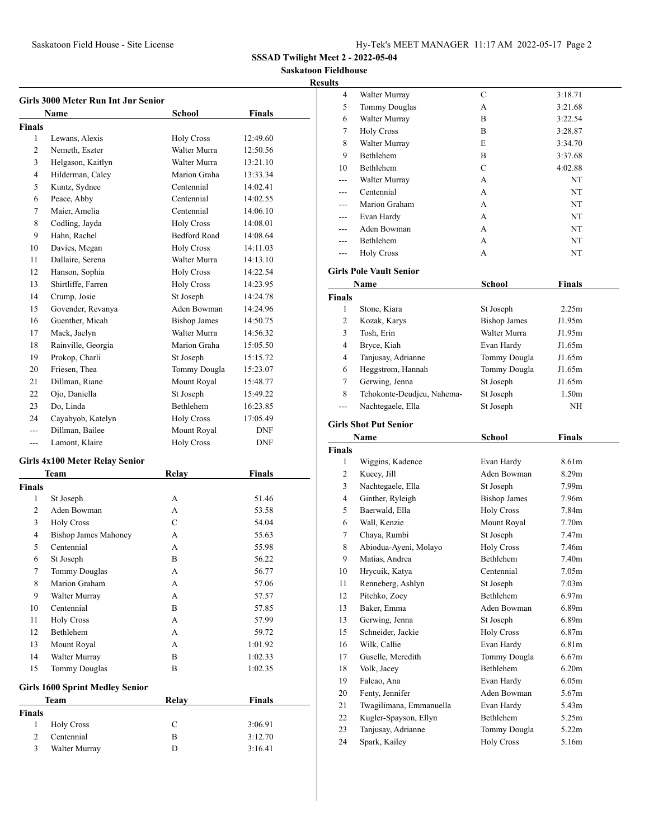**Saskatoon Fieldhouse Resul** 

### **Girls 3000 Meter Run Int Jnr Senior Name** School **Finals Finals** Lewans, Alexis Holy Cross 12:49.60 Nemeth, Eszter Walter Murra 12:50.56 Helgason, Kaitlyn Walter Murra 13:21.10 Hilderman, Caley Marion Graha 13:33.34 Kuntz, Sydnee Centennial 14:02.41 Peace, Abby Centennial 14:02.55 7 Maier, Amelia Centennial 14:06.10 Codling, Jayda Holy Cross 14:08.01 9 Hahn, Rachel Bedford Road 14:08.64 10 Davies, Megan Holy Cross 14:11.03 Dallaire, Serena Walter Murra 14:13.10 12 Hanson, Sophia Holy Cross 14:22.54 Shirtliffe, Farren Holy Cross 14:23.95 Crump, Josie St Joseph 14:24.78 Govender, Revanya Aden Bowman 14:24.96 16 Guenther, Micah Bishop James 14:50.75 Mack, Jaelyn Walter Murra 14:56.32 Rainville, Georgia Marion Graha 15:05.50 19 Prokop, Charli St Joseph 15:15.72 20 Friesen, Thea Tommy Dougla 15:23.07 21 Dillman, Riane Mount Royal 15:48.77 Ojo, Daniella St Joseph 15:49.22 Do, Linda Bethlehem 16:23.85 Cayabyob, Katelyn Holy Cross 17:05.49 --- Dillman, Bailee Mount Royal DNF --- Lamont, Klaire Holy Cross DNF **Girls 4x100 Meter Relay Senior Team Relay Finals Finals** St Joseph A 51.46 Aden Bowman A 53.58 Holy Cross C 54.04 Bishop James Mahoney A 55.63

| 5      | Centennial                             | А     | 55.98         |  |
|--------|----------------------------------------|-------|---------------|--|
| 6      | St Joseph                              | B     | 56.22         |  |
| 7      | <b>Tommy Douglas</b>                   | A     | 56.77         |  |
| 8      | Marion Graham                          | A     | 57.06         |  |
| 9      | Walter Murray                          | A     | 57.57         |  |
| 10     | Centennial                             | B     | 57.85         |  |
| 11     | <b>Holy Cross</b>                      | A     | 57.99         |  |
| 12     | Bethlehem                              | A     | 59.72         |  |
| 13     | Mount Royal                            | A     | 1:01.92       |  |
| 14     | Walter Murray                          | B     | 1:02.33       |  |
| 15     | <b>Tommy Douglas</b>                   | B     | 1:02.35       |  |
|        | <b>Girls 1600 Sprint Medley Senior</b> |       |               |  |
|        | <b>Team</b>                            | Relav | <b>Finals</b> |  |
| Finals |                                        |       |               |  |
| 1      | <b>Holy Cross</b>                      | C     | 3:06.91       |  |
| 2      | Centennial                             | B     | 3:12.70       |  |
| 3      | Walter Murray                          | D     | 3:16.41       |  |

| ults               |                                     |                                   |                   |  |  |
|--------------------|-------------------------------------|-----------------------------------|-------------------|--|--|
| 4                  | Walter Murray                       | С                                 | 3:18.71           |  |  |
| 5                  | <b>Tommy Douglas</b>                | А                                 | 3:21.68           |  |  |
| 6                  | Walter Murray                       | В                                 | 3:22.54           |  |  |
| 7                  | <b>Holy Cross</b>                   | В                                 | 3:28.87           |  |  |
| 8                  | Walter Murray                       | E                                 | 3:34.70           |  |  |
| 9                  | Bethlehem                           | В                                 | 3:37.68           |  |  |
| 10                 | Bethlehem                           | C                                 | 4:02.88           |  |  |
| ---                | Walter Murray                       | A                                 | NT                |  |  |
| $- - -$            | Centennial                          | A                                 | NT                |  |  |
|                    | Marion Graham                       | А                                 | NT                |  |  |
|                    | Evan Hardy                          | A                                 | NT                |  |  |
|                    | Aden Bowman                         | A                                 | NT                |  |  |
|                    | Bethlehem                           | A                                 |                   |  |  |
| ---                |                                     |                                   | NT                |  |  |
| ---                | <b>Holy Cross</b>                   | А                                 | NT                |  |  |
|                    | <b>Girls Pole Vault Senior</b>      |                                   |                   |  |  |
|                    | Name                                | School                            | <b>Finals</b>     |  |  |
| <b>Finals</b>      |                                     |                                   |                   |  |  |
| 1                  | Stone, Kiara                        | St Joseph                         | 2.25m             |  |  |
| 2                  | Kozak, Karys                        | <b>Bishop James</b>               | J1.95m            |  |  |
| 3                  | Tosh, Erin                          | Walter Murra                      | J1.95m            |  |  |
| 4                  | Bryce, Kiah                         | Evan Hardy                        | J1.65m            |  |  |
| 4                  | Tanjusay, Adrianne                  | Tommy Dougla                      | J1.65m            |  |  |
| 6                  | Heggstrom, Hannah                   | Tommy Dougla                      | J1.65m            |  |  |
| 7                  | Gerwing, Jenna                      | St Joseph                         | J1.65m            |  |  |
| 8                  | Tchokonte-Deudjeu, Nahema-          | St Joseph                         | 1.50m             |  |  |
| ---                | Nachtegaele, Ella                   | St Joseph                         | NH                |  |  |
|                    |                                     |                                   |                   |  |  |
|                    |                                     |                                   |                   |  |  |
|                    | <b>Girls Shot Put Senior</b>        |                                   |                   |  |  |
|                    | Name                                | School                            | <b>Finals</b>     |  |  |
| <b>Finals</b><br>1 |                                     |                                   | 8.61m             |  |  |
| 2                  | Wiggins, Kadence                    | Evan Hardy<br>Aden Bowman         | 8.29m             |  |  |
| 3                  | Kucey, Jill                         |                                   | 7.99m             |  |  |
| 4                  | Nachtegaele, Ella                   | St Joseph                         | 7.96m             |  |  |
| 5                  | Ginther, Ryleigh<br>Baerwald, Ella  | <b>Bishop James</b>               | 7.84m             |  |  |
| 6                  | Wall, Kenzie                        | <b>Holy Cross</b>                 | 7.70 <sub>m</sub> |  |  |
|                    |                                     | Mount Royal                       | 7.47m             |  |  |
| 7                  | Chaya, Rumbi                        | St Joseph                         |                   |  |  |
| 8                  | Abiodua-Ayeni, Molayo               | <b>Holy Cross</b>                 | 7.46m             |  |  |
| 9                  | Matias, Andrea                      | Bethlehem                         | 7.40m             |  |  |
| 10                 | Hrycuik, Katya                      | Centennial                        | 7.05 <sub>m</sub> |  |  |
| 11                 | Renneberg, Ashlyn                   | St Joseph                         | 7.03 <sub>m</sub> |  |  |
| 12                 | Pitchko, Zoey                       | Bethlehem                         | 6.97 <sub>m</sub> |  |  |
| 13                 | Baker, Emma                         | Aden Bowman                       | 6.89 <sub>m</sub> |  |  |
| 13                 | Gerwing, Jenna                      | St Joseph                         | 6.89m             |  |  |
| 15                 | Schneider, Jackie                   | <b>Holy Cross</b>                 | 6.87 <sub>m</sub> |  |  |
| 16                 | Wilk, Callie                        | Evan Hardy                        | 6.81 <sub>m</sub> |  |  |
| 17                 | Guselle, Meredith                   | Tommy Dougla                      | 6.67m             |  |  |
| 18                 | Volk, Jacey                         | Bethlehem                         | 6.20 <sub>m</sub> |  |  |
| 19                 | Falcao, Ana                         | Evan Hardy                        | 6.05m             |  |  |
| 20                 | Fenty, Jennifer                     | Aden Bowman                       | 5.67m             |  |  |
| 21                 | Twagilimana, Emmanuella             | Evan Hardy                        | 5.43m             |  |  |
| 22                 | Kugler-Spayson, Ellyn               | Bethlehem                         | 5.25m             |  |  |
| 23<br>24           | Tanjusay, Adrianne<br>Spark, Kailey | Tommy Dougla<br><b>Holy Cross</b> | 5.22m<br>5.16m    |  |  |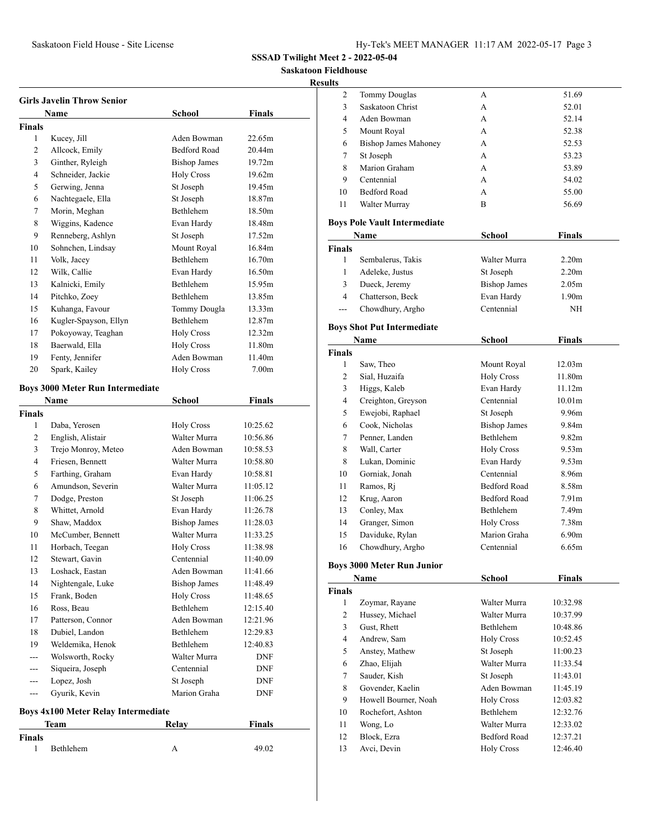**Saskatoon Fieldhouse**

**Results**

| <b>Girls Javelin Throw Senior</b> |                                                                                     |                     |                   |  |  |
|-----------------------------------|-------------------------------------------------------------------------------------|---------------------|-------------------|--|--|
|                                   | Name                                                                                | School              | Finals            |  |  |
| <b>Finals</b>                     |                                                                                     |                     |                   |  |  |
| 1                                 | Kucey, Jill                                                                         | Aden Bowman         | 22.65m            |  |  |
| 2                                 | Allcock, Emily                                                                      | <b>Bedford Road</b> | 20.44m            |  |  |
| 3                                 | Ginther, Ryleigh                                                                    | <b>Bishop James</b> | 19.72m            |  |  |
| 4                                 | Schneider, Jackie                                                                   | <b>Holy Cross</b>   | 19.62m            |  |  |
| 5                                 | Gerwing, Jenna                                                                      | St Joseph           | 19.45m            |  |  |
| 6                                 | Nachtegaele, Ella                                                                   | St Joseph           | 18.87m            |  |  |
| 7                                 | Morin, Meghan                                                                       | Bethlehem           | 18.50m            |  |  |
| 8                                 | Wiggins, Kadence                                                                    | Evan Hardy          | 18.48m            |  |  |
| 9                                 | Renneberg, Ashlyn                                                                   | St Joseph           | 17.52m            |  |  |
| 10                                | Sohnchen, Lindsay                                                                   | Mount Royal         | 16.84m            |  |  |
| 11                                | Volk, Jacey                                                                         | Bethlehem           | 16.70m            |  |  |
| 12                                | Wilk, Callie                                                                        | Evan Hardy          | 16.50m            |  |  |
| 13                                | Kalnicki, Emily                                                                     | Bethlehem           | 15.95m            |  |  |
| 14                                | Pitchko, Zoey                                                                       | <b>Bethlehem</b>    | 13.85m            |  |  |
| 15                                | Kuhanga, Favour                                                                     | Tommy Dougla        | 13.33m            |  |  |
| 16                                | Kugler-Spayson, Ellyn                                                               | Bethlehem           | 12.87m            |  |  |
| 17                                | Pokoyoway, Teaghan                                                                  | <b>Holy Cross</b>   | 12.32m            |  |  |
| 18                                | Baerwald, Ella                                                                      | <b>Holy Cross</b>   | 11.80m            |  |  |
| 19                                | Fenty, Jennifer                                                                     | Aden Bowman         | 11.40m            |  |  |
| 20                                | Spark, Kailey                                                                       | <b>Holy Cross</b>   | 7.00 <sub>m</sub> |  |  |
|                                   | <b>Boys 3000 Meter Run Intermediate</b>                                             |                     |                   |  |  |
|                                   | Name                                                                                | School              | Finals            |  |  |
| <b>Finals</b>                     |                                                                                     |                     |                   |  |  |
| 1                                 | Daba, Yerosen                                                                       | <b>Holy Cross</b>   | 10:25.62          |  |  |
| 2                                 | English, Alistair                                                                   | Walter Murra        | 10:56.86          |  |  |
| 3                                 | Trejo Monroy, Meteo                                                                 | Aden Bowman         | 10:58.53          |  |  |
| 4                                 | Friesen, Bennett                                                                    | Walter Murra        | 10:58.80          |  |  |
| 5                                 | Farthing, Graham                                                                    | Evan Hardy          | 10:58.81          |  |  |
| 6                                 | Amundson, Severin                                                                   | Walter Murra        | 11:05.12          |  |  |
| 7                                 | Dodge, Preston                                                                      | St Joseph           | 11:06.25          |  |  |
| 8                                 | Whittet, Arnold                                                                     | Evan Hardy          | 11:26.78          |  |  |
| 9                                 | Shaw, Maddox                                                                        | <b>Bishop James</b> | 11:28.03          |  |  |
| 10                                | McCumber, Bennett                                                                   | Walter Murra        | 11:33.25          |  |  |
| 11                                | Horbach, Teegan                                                                     | <b>Holy Cross</b>   | 11:38.98          |  |  |
| 12                                | Stewart, Gavin                                                                      | Centennial          | 11:40.09          |  |  |
| 13                                | Loshack, Eastan                                                                     | Aden Bowman         | 11:41.66          |  |  |
| 14                                | Nightengale, Luke                                                                   | <b>Bishop James</b> | 11:48.49          |  |  |
| 15                                | Frank, Boden                                                                        | <b>Holy Cross</b>   | 11:48.65          |  |  |
| 16                                | Ross, Beau                                                                          | Bethlehem           | 12:15.40          |  |  |
| 17                                | Patterson, Connor                                                                   | Aden Bowman         | 12:21.96          |  |  |
| 18                                | Dubiel, Landon                                                                      | <b>Bethlehem</b>    | 12:29.83          |  |  |
| 19                                | Weldemika, Henok                                                                    | Bethlehem           | 12:40.83          |  |  |
| ---                               | Wolsworth, Rocky                                                                    | Walter Murra        | DNF               |  |  |
| ---                               | Siqueira, Joseph                                                                    | Centennial          | DNF               |  |  |
| ---                               | Lopez, Josh                                                                         | St Joseph           | DNF               |  |  |
| ---                               | Gyurik, Kevin                                                                       | Marion Graha        | DNF               |  |  |
|                                   |                                                                                     |                     |                   |  |  |
|                                   | <b>Boys 4x100 Meter Relay Intermediate</b><br><b>Relay</b><br><b>Finals</b><br>Team |                     |                   |  |  |

1 Bethlehem A 49.02

**Finals**

| 2             | <b>Tommy Douglas</b>                | А                   | 51.69              |  |
|---------------|-------------------------------------|---------------------|--------------------|--|
| 3             | Saskatoon Christ                    | A                   | 52.01              |  |
| 4             | Aden Bowman                         | A                   | 52.14              |  |
| 5             | Mount Royal                         | A                   | 52.38              |  |
| 6             | <b>Bishop James Mahoney</b>         | A                   | 52.53              |  |
| 7             | St Joseph                           | A                   | 53.23              |  |
| 8             | Marion Graham                       | A                   | 53.89              |  |
| 9             | Centennial                          | A                   | 54.02              |  |
| 10            | <b>Bedford Road</b>                 | A                   | 55.00              |  |
| 11            | Walter Murray                       | B                   | 56.69              |  |
|               |                                     |                     |                    |  |
|               | <b>Boys Pole Vault Intermediate</b> |                     |                    |  |
|               | Name                                | School              | <b>Finals</b>      |  |
| <b>Finals</b> |                                     |                     |                    |  |
| 1             | Sembalerus, Takis                   | Walter Murra        | 2.20 <sub>m</sub>  |  |
| 1             | Adeleke, Justus                     | St Joseph           | 2.20 <sub>m</sub>  |  |
| 3             | Dueck, Jeremy                       | <b>Bishop James</b> | 2.05 <sub>m</sub>  |  |
| 4             | Chatterson, Beck                    | Evan Hardy          | 1.90 <sub>m</sub>  |  |
| ---           | Chowdhury, Argho                    | Centennial          | NH                 |  |
|               | <b>Boys Shot Put Intermediate</b>   |                     |                    |  |
|               | Name                                | <b>School</b>       | <b>Finals</b>      |  |
| <b>Finals</b> |                                     |                     |                    |  |
| 1             | Saw, Theo                           | Mount Royal         | 12.03m             |  |
| 2             | Sial, Huzaifa                       | <b>Holy Cross</b>   | 11.80m             |  |
| 3             | Higgs, Kaleb                        | Evan Hardy          | 11.12m             |  |
| 4             | Creighton, Greyson                  | Centennial          | 10.01 <sub>m</sub> |  |
| 5             | Ewejobi, Raphael                    | St Joseph           | 9.96m              |  |
| 6             | Cook, Nicholas                      | <b>Bishop James</b> | 9.84m              |  |
| 7             | Penner, Landen                      | Bethlehem           | 9.82 <sub>m</sub>  |  |
| 8             | Wall, Carter                        | <b>Holy Cross</b>   | 9.53m              |  |
| 8             | Lukan, Dominic                      | Evan Hardy          | 9.53m              |  |
| 10            | Gorniak, Jonah                      | Centennial          | 8.96m              |  |
| 11            | Ramos, Ri                           | Bedford Road        | 8.58m              |  |
| 12            | Krug, Aaron                         | <b>Bedford Road</b> | 7.91 <sub>m</sub>  |  |
| 13            | Conley, Max                         | Bethlehem           | 7.49 <sub>m</sub>  |  |
| 14            | Granger, Simon                      | <b>Holy Cross</b>   | 7.38m              |  |
| 15            | Daviduke, Rylan                     | Marion Graha        | 6.90 <sub>m</sub>  |  |
| 16            | Chowdhury, Argho                    | Centennial          | 6.65m              |  |
|               |                                     |                     |                    |  |
|               | <b>Boys 3000 Meter Run Junior</b>   |                     |                    |  |
|               | Name                                | School              | <b>Finals</b>      |  |
| <b>Finals</b> |                                     |                     |                    |  |
| 1             | Zoymar, Rayane                      | Walter Murra        | 10:32.98           |  |
| 2             | Hussey, Michael                     | Walter Murra        | 10:37.99           |  |
| 3             | Gust, Rhett                         | Bethlehem           | 10:48.86           |  |
| 4             | Andrew, Sam                         | <b>Holy Cross</b>   | 10:52.45           |  |
| 5             | Anstey, Mathew                      | St Joseph           | 11:00.23           |  |
| 6             | Zhao, Elijah                        | Walter Murra        | 11:33.54           |  |
| 7             | Sauder, Kish                        | St Joseph           | 11:43.01           |  |
| 8             | Govender, Kaelin                    | Aden Bowman         | 11:45.19           |  |
| 9             | Howell Bourner, Noah                | <b>Holy Cross</b>   | 12:03.82           |  |
| 10            | Rochefort, Ashton                   | Bethlehem           | 12:32.76           |  |
| 11            | Wong, Lo                            | Walter Murra        | 12:33.02           |  |
| 12            | Block, Ezra                         | <b>Bedford Road</b> | 12:37.21           |  |
| 13            | Avci, Devin                         | <b>Holy Cross</b>   | 12:46.40           |  |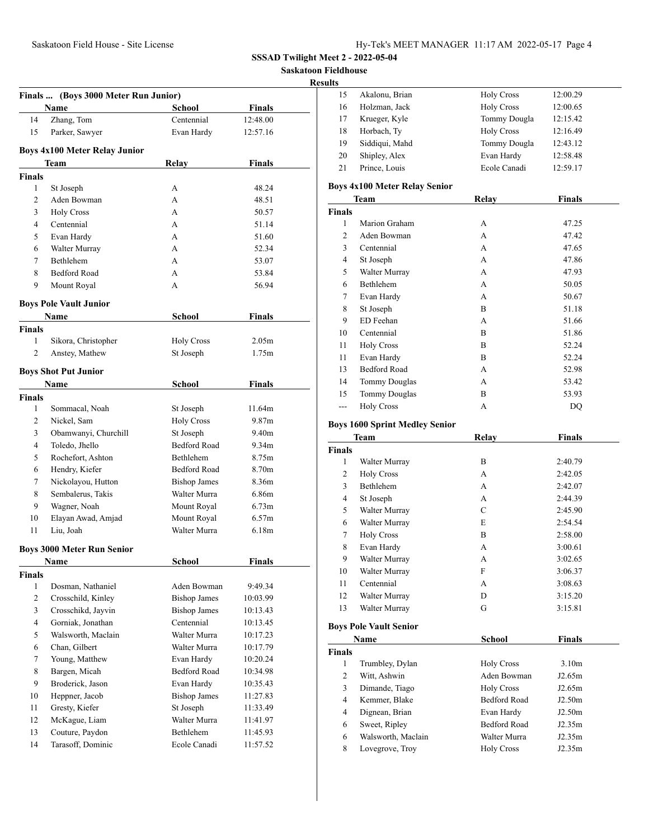**Saskatoon Fieldhouse**

#### **Results**

|                | Finals  (Boys 3000 Meter Run Junior)<br>Name | <b>School</b>       | <b>Finals</b>     |
|----------------|----------------------------------------------|---------------------|-------------------|
| 14             | Zhang, Tom                                   | Centennial          | 12:48.00          |
| 15             | Parker, Sawyer                               | Evan Hardy          | 12:57.16          |
|                |                                              |                     |                   |
|                | <b>Boys 4x100 Meter Relay Junior</b>         |                     |                   |
|                | Team                                         | Relay               | <b>Finals</b>     |
| <b>Finals</b>  |                                              |                     |                   |
| 1              | St Joseph                                    | А                   | 48.24             |
| 2              | Aden Bowman                                  | А                   | 48.51             |
| 3              | <b>Holy Cross</b>                            | A                   | 50.57             |
| $\overline{4}$ | Centennial                                   | А                   | 51.14             |
| 5              | Evan Hardy                                   | А                   | 51.60             |
| 6              | Walter Murray                                | A                   | 52.34             |
| 7              | Bethlehem                                    | A                   | 53.07             |
| 8              | <b>Bedford Road</b>                          | А                   | 53.84             |
| 9              | Mount Royal                                  | А                   | 56.94             |
|                | <b>Boys Pole Vault Junior</b>                |                     |                   |
|                | Name                                         | School              | Finals            |
| <b>Finals</b>  |                                              |                     |                   |
| 1              | Sikora, Christopher                          | <b>Holy Cross</b>   | 2.05 <sub>m</sub> |
| $\overline{c}$ | Anstey, Mathew                               | St Joseph           | 1.75m             |
|                |                                              |                     |                   |
|                | <b>Boys Shot Put Junior</b>                  |                     |                   |
|                | Name                                         | <b>School</b>       | <b>Finals</b>     |
| <b>Finals</b>  |                                              |                     |                   |
| 1              | Sommacal, Noah                               | St Joseph           | 11.64m            |
| 2              | Nickel, Sam                                  | <b>Holy Cross</b>   | 9.87 <sub>m</sub> |
| 3              | Obamwanyi, Churchill                         | St Joseph           | 9.40m             |
| 4              | Toledo, Jhello                               | <b>Bedford Road</b> | 9.34m             |
| 5              | Rochefort, Ashton                            | Bethlehem           | 8.75m             |
| 6              | Hendry, Kiefer                               | <b>Bedford Road</b> | 8.70m             |
| 7              | Nickolayou, Hutton                           | <b>Bishop James</b> | 8.36m             |
| 8              | Sembalerus, Takis                            | Walter Murra        | 6.86m             |
| 9              | Wagner, Noah                                 | Mount Royal         | 6.73 <sub>m</sub> |
| 10             | Elayan Awad, Amjad                           | Mount Royal         | 6.57 <sub>m</sub> |
| 11             | Liu, Joah                                    | Walter Murra        | 6.18m             |
|                | <b>Boys 3000 Meter Run Senior</b>            |                     |                   |
|                | <b>Name</b>                                  | <b>School</b>       | <b>Finals</b>     |
| <b>Finals</b>  |                                              |                     |                   |
| $\mathbf{1}$   | Dosman, Nathaniel                            | Aden Bowman         | 9:49.34           |
| $\mathbf{2}$   | Crosschild, Kinley                           | <b>Bishop James</b> | 10:03.99          |
| 3              | Crosschikd, Jayvin                           | <b>Bishop James</b> | 10:13.43          |
| 4              | Gorniak, Jonathan                            | Centennial          | 10:13.45          |
| 5              | Walsworth, Maclain                           | Walter Murra        | 10:17.23          |
| 6              | Chan, Gilbert                                | Walter Murra        | 10:17.79          |
| $\tau$         | Young, Matthew                               | Evan Hardy          | 10:20.24          |
| 8              | Bargen, Micah                                | Bedford Road        | 10:34.98          |
| 9              | Broderick, Jason                             | Evan Hardy          | 10:35.43          |
| 10             | Heppner, Jacob                               | <b>Bishop James</b> | 11:27.83          |
| 11             | Gresty, Kiefer                               | St Joseph           | 11:33.49          |
| 12             | McKague, Liam                                | Walter Murra        | 11:41.97          |
| 13             | Couture, Paydon                              | Bethlehem           | 11:45.93          |
| 14             | Tarasoff, Dominic                            | Ecole Canadi        | 11:57.52          |
|                |                                              |                     |                   |

| 15 | Akalonu, Brian | <b>Holy Cross</b> | 12:00.29 |
|----|----------------|-------------------|----------|
| 16 | Holzman, Jack  | <b>Holy Cross</b> | 12:00.65 |
| 17 | Krueger, Kyle  | Tommy Dougla      | 12:15.42 |
| 18 | Horbach, Ty    | <b>Holy Cross</b> | 12:16.49 |
| 19 | Siddiqui, Mahd | Tommy Dougla      | 12:43.12 |
| 20 | Shipley, Alex  | Evan Hardy        | 12:58.48 |
| 21 | Prince, Louis  | Ecole Canadi      | 12:59.17 |
|    |                |                   |          |

# **Boys 4x100 Meter Relay Senior**

| <b>Team</b>   |                      | Relay | <b>Finals</b> |
|---------------|----------------------|-------|---------------|
| <b>Finals</b> |                      |       |               |
| 1             | Marion Graham        | А     | 47.25         |
| 2             | Aden Bowman          | А     | 47.42         |
| 3             | Centennial           | А     | 47.65         |
| 4             | St Joseph            | A     | 47.86         |
| 5             | Walter Murray        | А     | 47.93         |
| 6             | Bethlehem            | А     | 50.05         |
| 7             | Evan Hardy           | А     | 50.67         |
| 8             | St Joseph            | B     | 51.18         |
| 9             | ED Feehan            | А     | 51.66         |
| 10            | Centennial           | B     | 51.86         |
| 11            | <b>Holy Cross</b>    | B     | 52.24         |
| 11            | Evan Hardy           | B     | 52.24         |
| 13            | <b>Bedford Road</b>  | А     | 52.98         |
| 14            | <b>Tommy Douglas</b> | А     | 53.42         |
| 15            | <b>Tommy Douglas</b> | B     | 53.93         |
| ---           | <b>Holy Cross</b>    | А     | DQ            |

# **Boys 1600 Sprint Medley Senior**

|                | Team                          | Relay               | <b>Finals</b>     |  |
|----------------|-------------------------------|---------------------|-------------------|--|
| <b>Finals</b>  |                               |                     |                   |  |
| 1              | Walter Murray                 | B                   | 2:40.79           |  |
| 2              | <b>Holy Cross</b>             | A                   | 2:42.05           |  |
| 3              | <b>Bethlehem</b>              | A                   | 2:42.07           |  |
| $\overline{4}$ | St Joseph                     | A                   | 2:44.39           |  |
| 5              | Walter Murray                 | $\mathcal{C}$       | 2:45.90           |  |
| 6              | Walter Murray                 | E                   | 2:54.54           |  |
| 7              | <b>Holy Cross</b>             | B                   | 2:58.00           |  |
| 8              | Evan Hardy                    | A                   | 3:00.61           |  |
| 9              | Walter Murray                 | A                   | 3:02.65           |  |
| 10             | Walter Murray                 | F                   | 3:06.37           |  |
| 11             | Centennial                    | A                   | 3:08.63           |  |
| 12             | Walter Murray                 | D                   | 3:15.20           |  |
| 13             | Walter Murray                 | G                   | 3:15.81           |  |
|                | <b>Boys Pole Vault Senior</b> |                     |                   |  |
|                | Name                          | School              | <b>Finals</b>     |  |
| <b>Finals</b>  |                               |                     |                   |  |
| 1              | Trumbley, Dylan               | <b>Holy Cross</b>   | 3.10 <sub>m</sub> |  |
| 2              | Witt, Ashwin                  | Aden Bowman         | J2.65m            |  |
| 3              | Dimande, Tiago                | <b>Holy Cross</b>   | J2.65m            |  |
| $\overline{4}$ | Kemmer, Blake                 | <b>Bedford Road</b> | J2.50m            |  |
| 4              | Dignean, Brian                | Evan Hardy          | J2.50m            |  |
| 6              | Sweet, Ripley                 | <b>Bedford Road</b> | J2.35m            |  |
| 6              | Walsworth, Maclain            | Walter Murra        | J2.35m            |  |
| 8              | Lovegrove, Troy               | <b>Holy Cross</b>   | J2.35m            |  |
|                |                               |                     |                   |  |